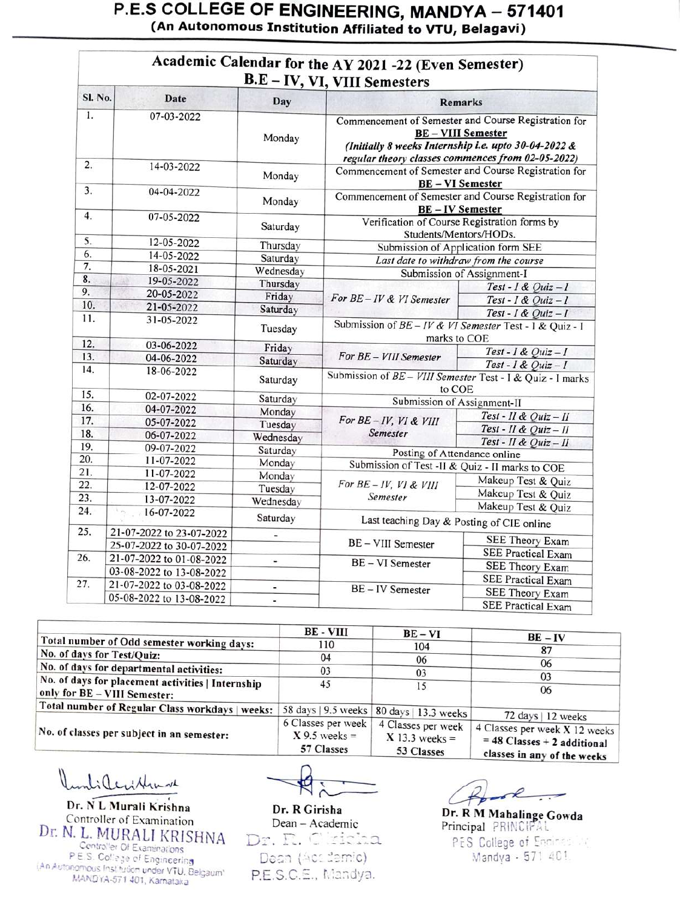| Sl. No. | Date                         | Day                          | B.E - IV, VI, VIII Semesters<br><b>Remarks</b>                                                                                                                                               |                                              |
|---------|------------------------------|------------------------------|----------------------------------------------------------------------------------------------------------------------------------------------------------------------------------------------|----------------------------------------------|
| 1.      | 07-03-2022                   |                              |                                                                                                                                                                                              |                                              |
|         |                              | Monday                       | Commencement of Semester and Course Registration for<br><b>BE-VIII Semester</b><br>(Initially 8 weeks Internship i.e. upto 30-04-2022 &<br>regular theory classes commences from 02-05-2022) |                                              |
| 2.      | 14-03-2022                   | Monday                       | Commencement of Semester and Course Registration for<br><b>BE-VI Semester</b>                                                                                                                |                                              |
| 3.      | 04-04-2022                   | Monday                       | Commencement of Semester and Course Registration for<br><b>BE-IV Semester</b>                                                                                                                |                                              |
| 4.      | 07-05-2022                   | Saturday                     | Verification of Course Registration forms by<br>Students/Mentors/HODs.                                                                                                                       |                                              |
| 5.      | 12-05-2022                   | Thursday                     | Submission of Application form SEE                                                                                                                                                           |                                              |
| 6.      | 14-05-2022                   | Saturday                     | Last date to withdraw from the course                                                                                                                                                        |                                              |
| 7.      | 18-05-2021                   | Wednesday                    |                                                                                                                                                                                              | Submission of Assignment-I                   |
| 8.      | 19-05-2022                   | Thursday                     |                                                                                                                                                                                              | Test - 1 & Quiz - 1                          |
| 9.      | 20-05-2022                   | Friday                       | For BE-IV & VI Semester                                                                                                                                                                      | Test - 1 & Quiz - 1                          |
| 10.     | 21-05-2022                   | Saturday                     |                                                                                                                                                                                              | Test - 1 & Quiz - 1                          |
| 11.     | 31-05-2022                   | Tuesday                      | Submission of $BE - IV & VI$ Semester Test - I & Quiz - I<br>marks to COE                                                                                                                    |                                              |
| 12.     | 03-06-2022                   | Friday                       |                                                                                                                                                                                              |                                              |
| 13.     | 04-06-2022                   | Saturday                     | For BE - VIII Semester                                                                                                                                                                       | Test - I & Quiz - I                          |
| 14.     | 18-06-2022                   | Saturday                     | Test - I & Quiz - I<br>Submission of BE - VIII Semester Test - I & Quiz - I marks                                                                                                            |                                              |
| 15.     | 02-07-2022                   | Saturday                     | to COE<br>Submission of Assignment-II                                                                                                                                                        |                                              |
| 16.     | 04-07-2022                   | Monday                       |                                                                                                                                                                                              |                                              |
| 17.     | 05-07-2022                   | Tuesday                      | For BE-IV, VI & VIII                                                                                                                                                                         | Test - II & Quiz - II                        |
| 18.     | 06-07-2022                   | Wednesday                    | Semester                                                                                                                                                                                     | Test - II & Quiz - II                        |
| 19.     | 09-07-2022                   | Saturday                     |                                                                                                                                                                                              | Test - II & Quiz - II                        |
| 20.     | 11-07-2022                   | Monday                       | Posting of Attendance online<br>Submission of Test -II & Quiz - II marks to COE                                                                                                              |                                              |
| 21.     | 11-07-2022                   | Monday                       | Makeup Test & Quiz<br>For BE-IV, VI & VIII<br>Makeup Test & Quiz<br>Semester                                                                                                                 |                                              |
| 22.     | 12-07-2022                   | Tuesday                      |                                                                                                                                                                                              |                                              |
| 23.     | 13-07-2022                   | Wednesday                    |                                                                                                                                                                                              |                                              |
| 24.     | $\overline{1}$<br>16-07-2022 | Saturday                     | Makeup Test & Quiz<br>Last teaching Day & Posting of CIE online                                                                                                                              |                                              |
| 25.     | 21-07-2022 to 23-07-2022     | ٠                            | BE - VIII Semester                                                                                                                                                                           |                                              |
|         | 25-07-2022 to 30-07-2022     |                              |                                                                                                                                                                                              | SEE Theory Exam                              |
| 26.     | 21-07-2022 to 01-08-2022     | ٠                            | <b>BE-VI</b> Semester                                                                                                                                                                        | <b>SEE Practical Exam</b>                    |
|         | 03-08-2022 to 13-08-2022     |                              |                                                                                                                                                                                              | SEE Theory Exam                              |
| 27.     | 21-07-2022 to 03-08-2022     | $\qquad \qquad \blacksquare$ | BE-IV Semester                                                                                                                                                                               | <b>SEE Practical Exam</b>                    |
|         | 05-08-2022 to 13-08-2022     | $\blacksquare$               |                                                                                                                                                                                              | SEE Theory Exam<br><b>SEE Practical Exam</b> |

|                                                                                   | <b>BE - VIII</b>                                    | $BE - VI$                                            | $BE - IV$                                                                                                           |
|-----------------------------------------------------------------------------------|-----------------------------------------------------|------------------------------------------------------|---------------------------------------------------------------------------------------------------------------------|
| Total number of Odd semester working days:                                        | 110                                                 | 104                                                  |                                                                                                                     |
| No. of days for Test/Quiz:                                                        | 04                                                  | 06                                                   | 87                                                                                                                  |
| No. of days for departmental activities:                                          | 03                                                  | 03                                                   | 06                                                                                                                  |
| No. of days for placement activities   Internship<br>only for BE - VIII Semester: | 45                                                  | 15                                                   | 03<br>06                                                                                                            |
| Total number of Regular Class workdays   weeks:                                   | 58 days   9.5 weeks                                 | 80 days   13.3 weeks                                 |                                                                                                                     |
| No. of classes per subject in an semester:                                        | 6 Classes per week<br>$X$ 9.5 weeks =<br>57 Classes | 4 Classes per week<br>$X$ 13.3 weeks =<br>53 Classes | 72 days   12 weeks<br>4 Classes per week X 12 weeks<br>$= 48$ Classes + 2 additional<br>classes in any of the weeks |

mlilerishmar

Dr. NL Murali Krishna<br>
Controller of Examination<br>
Dean – Academic Principal PRINCIPAL<br>
N. J. MIJDAJ J. MDJOVO Controller of Examination Dr. N. L. MURALI KRISHNA<br>
Centroller Of Examinations<br>
PES. College of Engineering PES. Co!ege cf Engineering An Autonomous Instudon under VTU. Belgaum' MANDYA-571 401, Karnataka

Dr. R Girisha Dean - Academic Dr. R. Chicha Dean (Acc demic) P.E.S.C.E, hiandya.

PES College of Encines (2) Mandya - 571 401.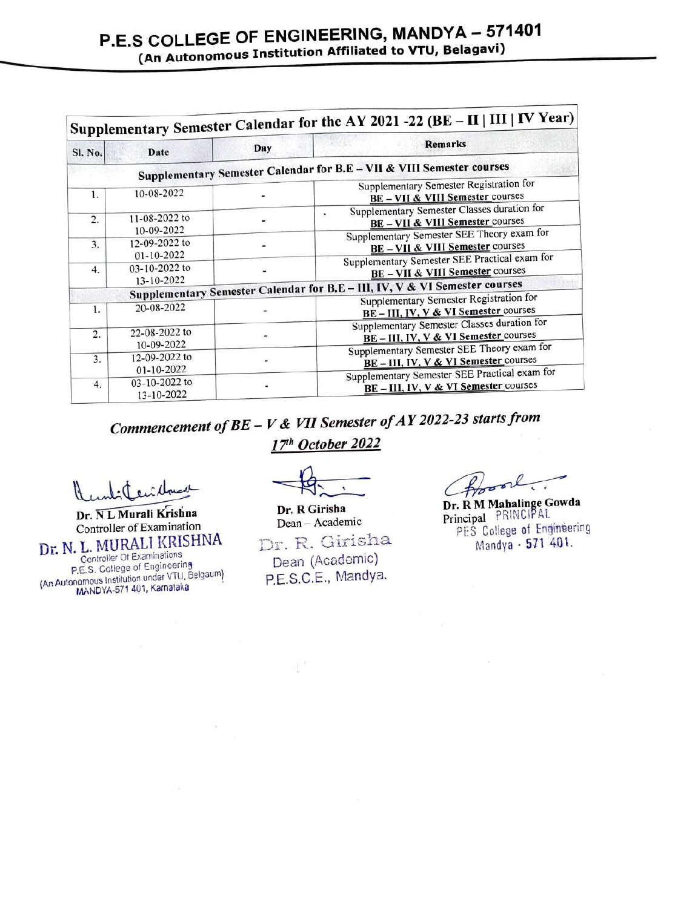|                  |                                   |     | Supplementary Semester Calendar for the AY 2021 -22 (BE - II   III   IV Year)                                                                                           |  |
|------------------|-----------------------------------|-----|-------------------------------------------------------------------------------------------------------------------------------------------------------------------------|--|
| Sl. No.          | Date                              | Day | <b>Remarks</b>                                                                                                                                                          |  |
|                  |                                   |     | Supplementary Semester Calendar for B.E - VII & VIII Semester courses                                                                                                   |  |
| $\mathbf{1}$ .   | 10-08-2022                        |     | Supplementary Semester Registration for<br>BE - VII & VIII Semester courses                                                                                             |  |
| 2.               | 11-08-2022 to                     |     | Supplementary Semester Classes duration for<br>٠<br>BE - VII & VIII Semester courses                                                                                    |  |
| 3.               | 10-09-2022<br>12-09-2022 to       |     | Supplementary Semester SEE Theory exam for<br>BE - VII & VIII Semester courses                                                                                          |  |
| 4.               | 01-10-2022<br>03-10-2022 to       |     | Supplementary Semester SEE Practical exam for<br><b>BE-VII &amp; VIII Semester courses</b>                                                                              |  |
|                  | 13-10-2022                        |     | Supplementary Semester Calendar for B.E - III, IV, V & VI Semester courses                                                                                              |  |
| Ŀ.               | 20-08-2022                        |     | Supplementary Semester Registration for<br>BE-III, IV, V & VI Semester courses                                                                                          |  |
| $\overline{2}$ . | 22-08-2022 to<br>10-09-2022       |     | Supplementary Semester Classes duration for<br>BE-III, IV, V & VI Semester courses<br>Supplementary Semester SEE Theory exam for<br>BE-III, IV, V & VI Semester courses |  |
| 3.               | 12-09-2022 to<br>$01 - 10 - 2022$ |     |                                                                                                                                                                         |  |
| 4.               | 03-10-2022 to<br>13-10-2022       |     | Supplementary Semester SEE Practical exam for<br>BE-III, IV, V & VI Semester courses                                                                                    |  |

Commencement of  $BE - V & VI$  Semester of AY 2022-23 starts from 17<sup>th</sup> October 2022

Dr. NL Murali Krishna Controller of Examination Dr. N. L. MURALI KRISHNA Centroller Of Examinations P.E.S. College of Engineering (An Autonomous Institution under VTU, Belgaum MANDYA-571 401, Karnataka

Dr. R Girisha<br>Dean - Academic Dr. R. Girisha Dean (Academic) P.E.S.C.E., Mandya.

Proof

Dr. R Girisha Dr. R M Mahalinge Gowda Principal PRINCIPAL PES College of Engineering Mandya - 571 401.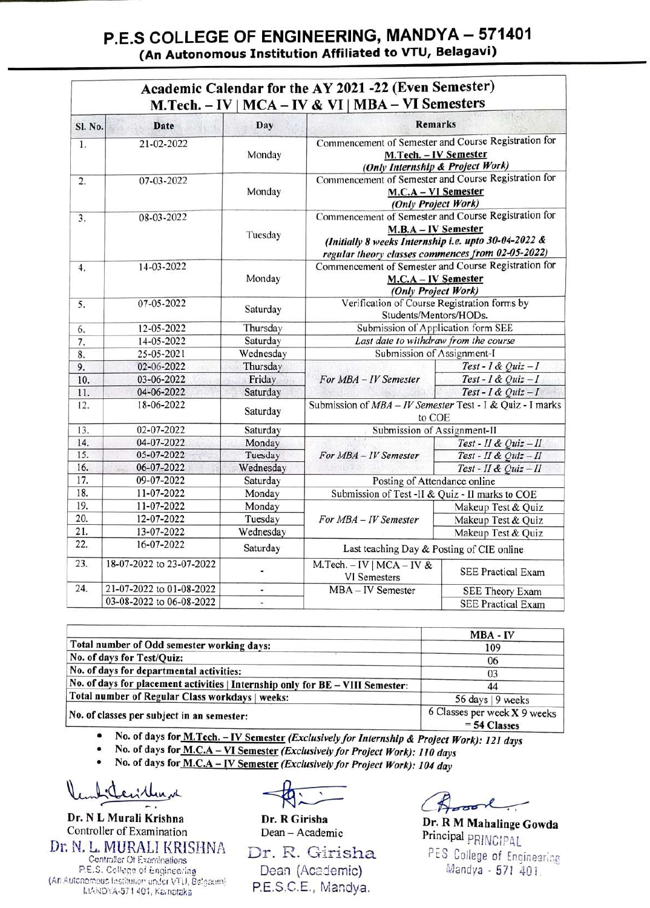## P.E.S COLLEGE OF ENGINEERING, MANDYA - 571401 (An Autonomous Institution Affiliated to VTU, Belagavi)

|         |                          |           | Academic Calendar for the AY 2021-22 (Even Semester)<br>M.Tech. $- IV \mid MCA - IV \& VI \mid MBA - VI$ Semesters                                                                       |                           |
|---------|--------------------------|-----------|------------------------------------------------------------------------------------------------------------------------------------------------------------------------------------------|---------------------------|
| Sl. No. | <b>Date</b>              | Day       | <b>Remarks</b>                                                                                                                                                                           |                           |
| 1.      | 21-02-2022               | Monday    | Commencement of Semester and Course Registration for<br>M.Tech. - IV Semester<br>(Only Internship & Project Work)                                                                        |                           |
| 2.      | 07-03-2022               | Monday    | Commencement of Semester and Course Registration for<br>M.C.A - VI Semester<br>(Only Project Work)                                                                                       |                           |
| 3.      | 08-03-2022               | Tuesday   | Commencement of Semester and Course Registration for<br>M.B.A - IV Semester<br>(Initially 8 weeks Internship i.e. upto 30-04-2022 &<br>regular theory classes commences from 02-05-2022) |                           |
| 4.      | 14-03-2022               | Monday    | Commencement of Semester and Course Registration for<br>M.C.A - IV Semester<br>(Only Project Work)                                                                                       |                           |
| 5.      | 07-05-2022               | Saturday  | Verification of Course Registration forms by<br>Students/Mentors/HODs.                                                                                                                   |                           |
| 6.      | 12-05-2022               | Thursday  | Submission of Application form SEE                                                                                                                                                       |                           |
| 7.      | 14-05-2022               | Saturday  | Last date to withdraw from the course                                                                                                                                                    |                           |
| 8.      | 25-05-2021               | Wednesday | Submission of Assignment-I                                                                                                                                                               |                           |
| 9.      | 02-06-2022               | Thursday  |                                                                                                                                                                                          | Test - I & Quiz - I       |
| 10.     | 03-06-2022               | Friday    | For MBA - IV Semester                                                                                                                                                                    | Test - I & Quiz - I       |
| 11.     | 04-06-2022               | Saturday  |                                                                                                                                                                                          | Test - I & Quiz - I       |
| 12.     | 18-06-2022               | Saturday  | Submission of MBA - IV Semester Test - I & Quiz - I marks<br>to COE                                                                                                                      |                           |
| 13.     | 02-07-2022               | Saturday  | Submission of Assignment-II                                                                                                                                                              |                           |
| 14.     | 04-07-2022               | Monday    |                                                                                                                                                                                          | Test - II & Quiz - II     |
| 15.     | 05-07-2022               | Tuesday   | For MBA - IV Semester                                                                                                                                                                    | Test - II & Quiz - II     |
| 16.     | 06-07-2022               | Wednesday |                                                                                                                                                                                          | Test - II & Quiz - II     |
| 17.     | 09-07-2022               | Saturday  | Posting of Attendance online                                                                                                                                                             |                           |
| 18.     | 11-07-2022               | Monday    | Submission of Test -II & Quiz - II marks to COE                                                                                                                                          |                           |
| 19.     | 11-07-2022               | Monday    | For MBA - IV Semester                                                                                                                                                                    | Makeup Test & Quiz        |
| 20.     | 12-07-2022               | Tuesday   |                                                                                                                                                                                          | Makeup Test & Quiz        |
| 21.     | 13-07-2022               | Wednesday |                                                                                                                                                                                          | Makeup Test & Quiz        |
| 22.     | 16-07-2022               | Saturday  | Last teaching Day & Posting of CIE online                                                                                                                                                |                           |
| 23.     | 18-07-2022 to 23-07-2022 | Ξ         | M.Tech. $-$ IV   MCA $-$ IV &<br>VI Semesters                                                                                                                                            | <b>SEE Practical Exam</b> |
| 24.     | 21-07-2022 to 01-08-2022 | ۷         | MBA - IV Semester                                                                                                                                                                        | SEE Theory Exam           |
|         | 03-08-2022 to 06-08-2022 | ٠         |                                                                                                                                                                                          | <b>SEE Practical Exam</b> |

|                                                                                | <b>MBA - IV</b>                                |
|--------------------------------------------------------------------------------|------------------------------------------------|
| Total number of Odd semester working days:                                     | 109                                            |
| No. of days for Test/Quiz:                                                     | 06                                             |
| No. of days for departmental activities:                                       | 03                                             |
| No. of days for placement activities   Internship only for BE - VIII Semester: | 44                                             |
| Total number of Regular Class workdays   weeks:                                | 56 days   9 weeks                              |
| No. of classes per subject in an semester:                                     | 6 Classes per week X 9 weeks<br>$=$ 54 Classes |

54 Classes .No. of days for M.Tech.-IV Semester (Exclusively for Internship & Project Work): 121 days

No. of days for  $M.C.A-VI$  Semester (Exclusively for Project Work): 110 days No. of days for  $M.C.A-VI$  Semester (Exclusively for Project Work): 104 day

Dr. NL Murali Krishna Controller of Examination Dr. N. L. MURALI KRISHNA Dr. R. Girisha P.E.S. College of Engineering (An Autonemous Institution under VTU, Belgaum) MANDYA-571 401, Kainotaka

Dean - Academic

Dean (Academic) P.E.S.C.E., Mandya.

Dr. R Girisha Dr. R M Mahalinge Gowda Principal pRINCIPAL PES College of Engineering Mandya - 571 401.